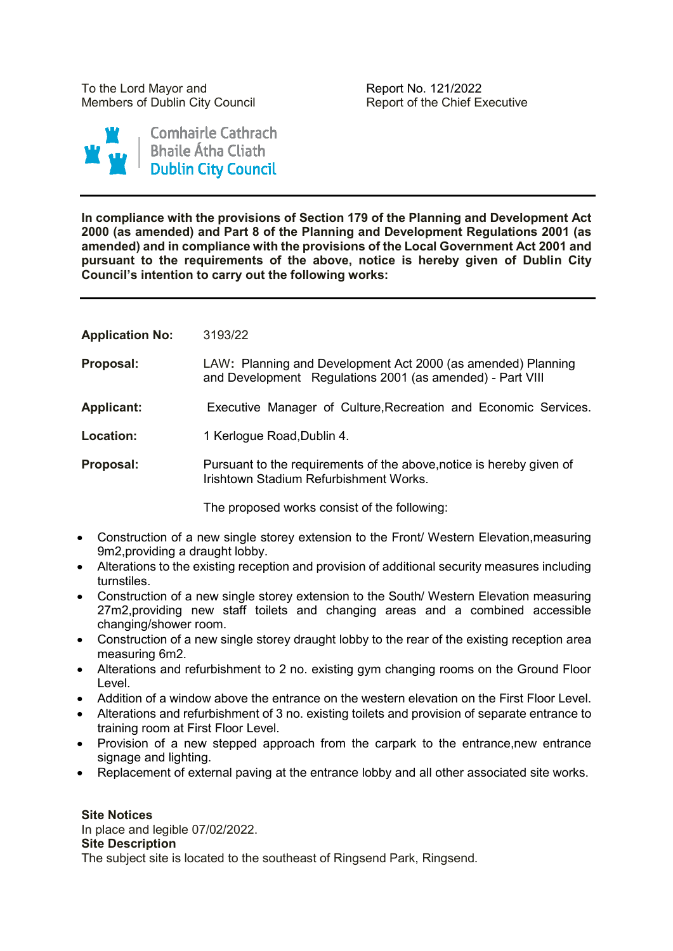To the Lord Mayor and The Report No. 121/2022 Members of Dublin City Council **Report of the Chief Executive** 



**In compliance with the provisions of Section 179 of the Planning and Development Act 2000 (as amended) and Part 8 of the Planning and Development Regulations 2001 (as amended) and in compliance with the provisions of the Local Government Act 2001 and pursuant to the requirements of the above, notice is hereby given of Dublin City Council's intention to carry out the following works:**

| <b>Application No:</b> | 3193/22 |
|------------------------|---------|
|------------------------|---------|

**Proposal:** LAW**:** Planning and Development Act 2000 (as amended) Planning and Development Regulations 2001 (as amended) - Part VIII

- **Applicant:** Executive Manager of Culture,Recreation and Economic Services.
- Location: 1 Kerlogue Road, Dublin 4.
- **Proposal:** Pursuant to the requirements of the above, notice is hereby given of Irishtown Stadium Refurbishment Works.

The proposed works consist of the following:

- Construction of a new single storey extension to the Front/ Western Elevation,measuring 9m2,providing a draught lobby.
- Alterations to the existing reception and provision of additional security measures including turnstiles.
- Construction of a new single storey extension to the South/ Western Elevation measuring 27m2,providing new staff toilets and changing areas and a combined accessible changing/shower room.
- Construction of a new single storey draught lobby to the rear of the existing reception area measuring 6m2.
- Alterations and refurbishment to 2 no. existing gym changing rooms on the Ground Floor Level.
- Addition of a window above the entrance on the western elevation on the First Floor Level.
- Alterations and refurbishment of 3 no. existing toilets and provision of separate entrance to training room at First Floor Level.
- Provision of a new stepped approach from the carpark to the entrance, new entrance signage and lighting.
- Replacement of external paving at the entrance lobby and all other associated site works.

#### **Site Notices**

In place and legible 07/02/2022. **Site Description** The subject site is located to the southeast of Ringsend Park, Ringsend.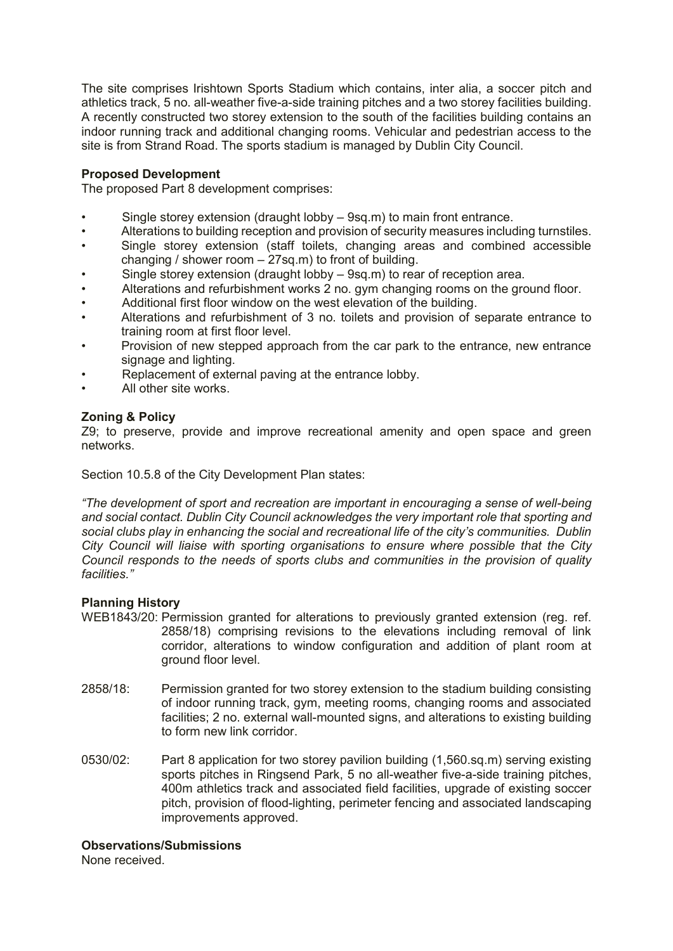The site comprises Irishtown Sports Stadium which contains, inter alia, a soccer pitch and athletics track, 5 no. all-weather five-a-side training pitches and a two storey facilities building. A recently constructed two storey extension to the south of the facilities building contains an indoor running track and additional changing rooms. Vehicular and pedestrian access to the site is from Strand Road. The sports stadium is managed by Dublin City Council.

# **Proposed Development**

The proposed Part 8 development comprises:

- Single storey extension (draught lobby 9sq.m) to main front entrance.
- Alterations to building reception and provision of security measures including turnstiles.
- Single storey extension (staff toilets, changing areas and combined accessible changing / shower room – 27sq.m) to front of building.
- Single storey extension (draught lobby 9sq.m) to rear of reception area.
- Alterations and refurbishment works 2 no. gym changing rooms on the ground floor.
- Additional first floor window on the west elevation of the building.
- Alterations and refurbishment of 3 no. toilets and provision of separate entrance to training room at first floor level.
- Provision of new stepped approach from the car park to the entrance, new entrance signage and lighting.
- Replacement of external paving at the entrance lobby.
- All other site works.

## **Zoning & Policy**

Z9; to preserve, provide and improve recreational amenity and open space and green networks.

Section 10.5.8 of the City Development Plan states:

*"The development of sport and recreation are important in encouraging a sense of well-being and social contact. Dublin City Council acknowledges the very important role that sporting and social clubs play in enhancing the social and recreational life of the city's communities. Dublin City Council will liaise with sporting organisations to ensure where possible that the City Council responds to the needs of sports clubs and communities in the provision of quality facilities."*

#### **Planning History**

- WEB1843/20: Permission granted for alterations to previously granted extension (reg. ref. 2858/18) comprising revisions to the elevations including removal of link corridor, alterations to window configuration and addition of plant room at ground floor level.
- 2858/18: Permission granted for two storey extension to the stadium building consisting of indoor running track, gym, meeting rooms, changing rooms and associated facilities; 2 no. external wall-mounted signs, and alterations to existing building to form new link corridor.
- 0530/02: Part 8 application for two storey pavilion building (1,560.sq.m) serving existing sports pitches in Ringsend Park, 5 no all-weather five-a-side training pitches, 400m athletics track and associated field facilities, upgrade of existing soccer pitch, provision of flood-lighting, perimeter fencing and associated landscaping improvements approved.

#### **Observations/Submissions**

None received.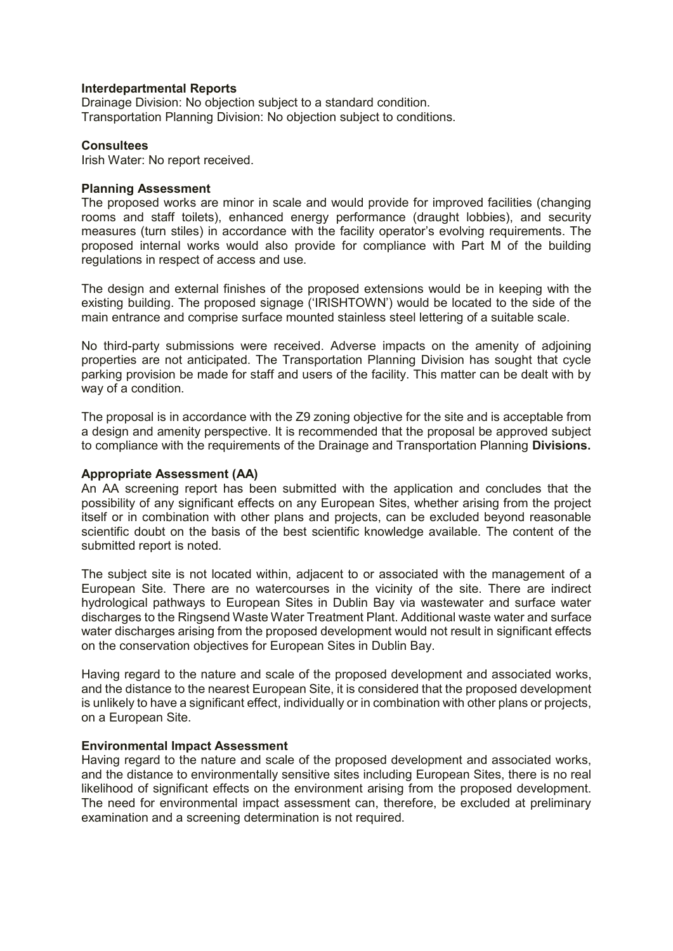#### **Interdepartmental Reports**

Drainage Division: No objection subject to a standard condition. Transportation Planning Division: No objection subject to conditions.

#### **Consultees**

Irish Water: No report received.

#### **Planning Assessment**

The proposed works are minor in scale and would provide for improved facilities (changing rooms and staff toilets), enhanced energy performance (draught lobbies), and security measures (turn stiles) in accordance with the facility operator's evolving requirements. The proposed internal works would also provide for compliance with Part M of the building regulations in respect of access and use.

The design and external finishes of the proposed extensions would be in keeping with the existing building. The proposed signage ('IRISHTOWN') would be located to the side of the main entrance and comprise surface mounted stainless steel lettering of a suitable scale.

No third-party submissions were received. Adverse impacts on the amenity of adjoining properties are not anticipated. The Transportation Planning Division has sought that cycle parking provision be made for staff and users of the facility. This matter can be dealt with by way of a condition.

The proposal is in accordance with the Z9 zoning objective for the site and is acceptable from a design and amenity perspective. It is recommended that the proposal be approved subject to compliance with the requirements of the Drainage and Transportation Planning **Divisions.**

#### **Appropriate Assessment (AA)**

An AA screening report has been submitted with the application and concludes that the possibility of any significant effects on any European Sites, whether arising from the project itself or in combination with other plans and projects, can be excluded beyond reasonable scientific doubt on the basis of the best scientific knowledge available. The content of the submitted report is noted.

The subject site is not located within, adjacent to or associated with the management of a European Site. There are no watercourses in the vicinity of the site. There are indirect hydrological pathways to European Sites in Dublin Bay via wastewater and surface water discharges to the Ringsend Waste Water Treatment Plant. Additional waste water and surface water discharges arising from the proposed development would not result in significant effects on the conservation objectives for European Sites in Dublin Bay.

Having regard to the nature and scale of the proposed development and associated works, and the distance to the nearest European Site, it is considered that the proposed development is unlikely to have a significant effect, individually or in combination with other plans or projects, on a European Site.

#### **Environmental Impact Assessment**

Having regard to the nature and scale of the proposed development and associated works, and the distance to environmentally sensitive sites including European Sites, there is no real likelihood of significant effects on the environment arising from the proposed development. The need for environmental impact assessment can, therefore, be excluded at preliminary examination and a screening determination is not required.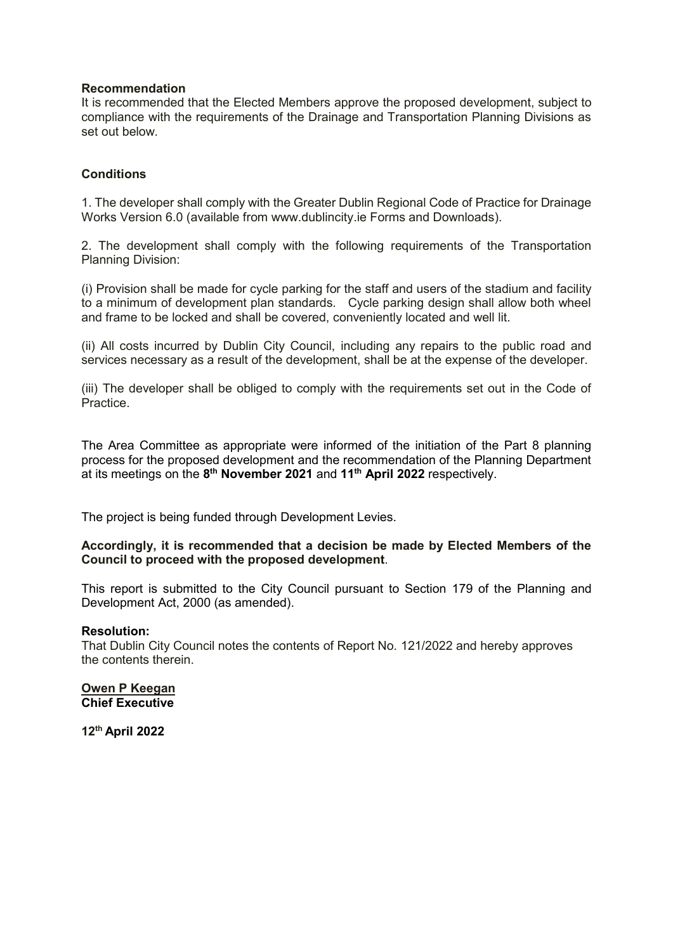# **Recommendation**

It is recommended that the Elected Members approve the proposed development, subject to compliance with the requirements of the Drainage and Transportation Planning Divisions as set out below.

# **Conditions**

1. The developer shall comply with the Greater Dublin Regional Code of Practice for Drainage Works Version 6.0 (available from www.dublincity.ie Forms and Downloads).

2. The development shall comply with the following requirements of the Transportation Planning Division:

(i) Provision shall be made for cycle parking for the staff and users of the stadium and facility to a minimum of development plan standards. Cycle parking design shall allow both wheel and frame to be locked and shall be covered, conveniently located and well lit.

(ii) All costs incurred by Dublin City Council, including any repairs to the public road and services necessary as a result of the development, shall be at the expense of the developer.

(iii) The developer shall be obliged to comply with the requirements set out in the Code of Practice.

The Area Committee as appropriate were informed of the initiation of the Part 8 planning process for the proposed development and the recommendation of the Planning Department at its meetings on the **8 th November 2021** and **11th April 2022** respectively.

The project is being funded through Development Levies.

## **Accordingly, it is recommended that a decision be made by Elected Members of the Council to proceed with the proposed development**.

This report is submitted to the City Council pursuant to Section 179 of the Planning and Development Act, 2000 (as amended).

#### **Resolution:**

That Dublin City Council notes the contents of Report No. 121/2022 and hereby approves the contents therein.

**Owen P Keegan Chief Executive**

**12th April 2022**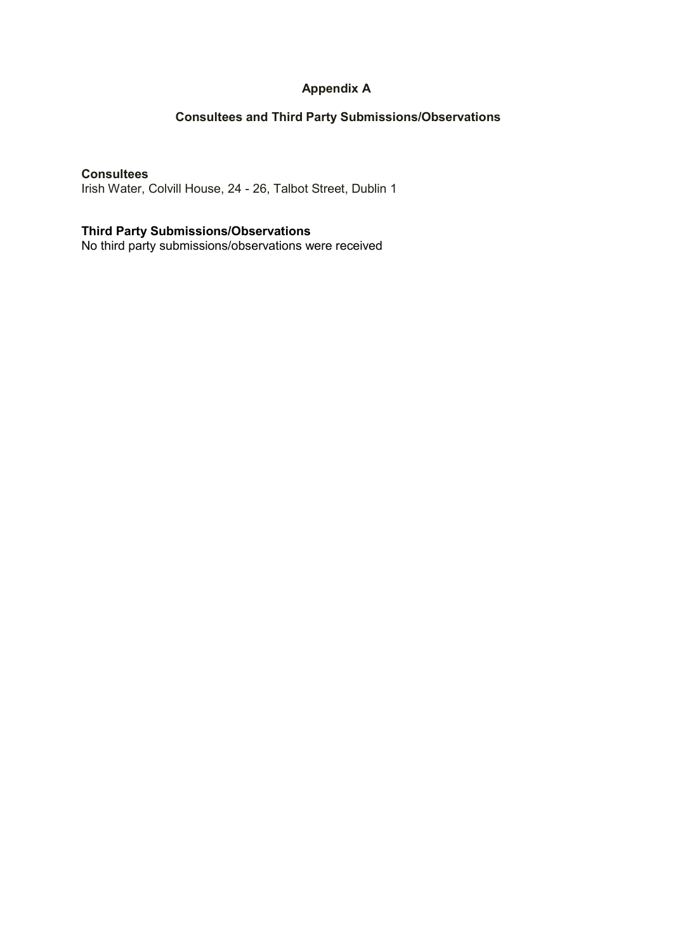# **Appendix A**

# **Consultees and Third Party Submissions/Observations**

# **Consultees**

Irish Water, Colvill House, 24 - 26, Talbot Street, Dublin 1

# **Third Party Submissions/Observations**

No third party submissions/observations were received